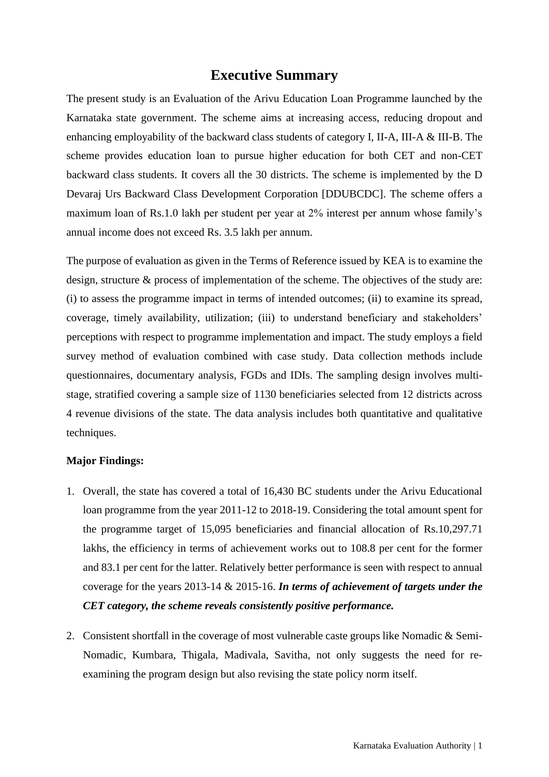## **Executive Summary**

The present study is an Evaluation of the Arivu Education Loan Programme launched by the Karnataka state government. The scheme aims at increasing access, reducing dropout and enhancing employability of the backward class students of category I, II-A, III-A & III-B. The scheme provides education loan to pursue higher education for both CET and non-CET backward class students. It covers all the 30 districts. The scheme is implemented by the D Devaraj Urs Backward Class Development Corporation [DDUBCDC]. The scheme offers a maximum loan of Rs.1.0 lakh per student per year at 2% interest per annum whose family's annual income does not exceed Rs. 3.5 lakh per annum.

The purpose of evaluation as given in the Terms of Reference issued by KEA is to examine the design, structure & process of implementation of the scheme. The objectives of the study are: (i) to assess the programme impact in terms of intended outcomes; (ii) to examine its spread, coverage, timely availability, utilization; (iii) to understand beneficiary and stakeholders' perceptions with respect to programme implementation and impact. The study employs a field survey method of evaluation combined with case study. Data collection methods include questionnaires, documentary analysis, FGDs and IDIs. The sampling design involves multistage, stratified covering a sample size of 1130 beneficiaries selected from 12 districts across 4 revenue divisions of the state. The data analysis includes both quantitative and qualitative techniques.

## **Major Findings:**

- 1. Overall, the state has covered a total of 16,430 BC students under the Arivu Educational loan programme from the year 2011-12 to 2018-19. Considering the total amount spent for the programme target of 15,095 beneficiaries and financial allocation of Rs.10,297.71 lakhs, the efficiency in terms of achievement works out to 108.8 per cent for the former and 83.1 per cent for the latter. Relatively better performance is seen with respect to annual coverage for the years 2013-14 & 2015-16. *In terms of achievement of targets under the CET category, the scheme reveals consistently positive performance.*
- 2. Consistent shortfall in the coverage of most vulnerable caste groups like Nomadic & Semi-Nomadic, Kumbara, Thigala, Madivala, Savitha, not only suggests the need for reexamining the program design but also revising the state policy norm itself.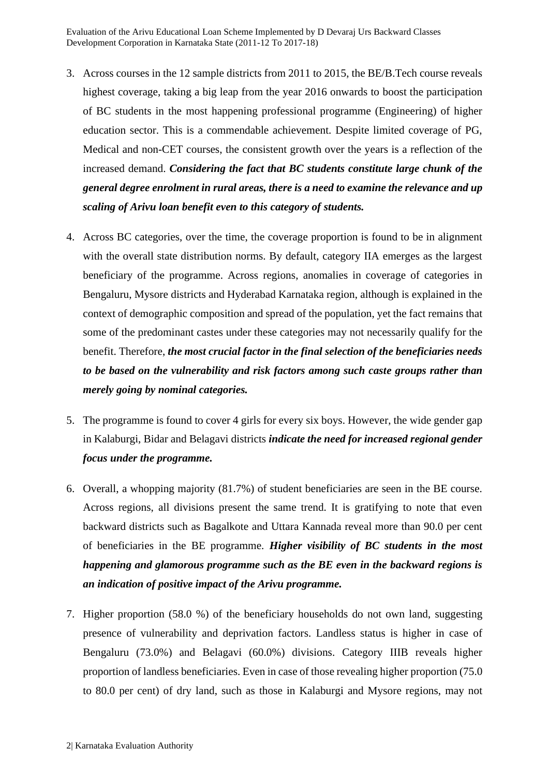- 3. Across courses in the 12 sample districts from 2011 to 2015, the BE/B.Tech course reveals highest coverage, taking a big leap from the year 2016 onwards to boost the participation of BC students in the most happening professional programme (Engineering) of higher education sector. This is a commendable achievement. Despite limited coverage of PG, Medical and non-CET courses, the consistent growth over the years is a reflection of the increased demand. *Considering the fact that BC students constitute large chunk of the general degree enrolment in rural areas, there is a need to examine the relevance and up scaling of Arivu loan benefit even to this category of students.*
- 4. Across BC categories, over the time, the coverage proportion is found to be in alignment with the overall state distribution norms. By default, category IIA emerges as the largest beneficiary of the programme. Across regions, anomalies in coverage of categories in Bengaluru, Mysore districts and Hyderabad Karnataka region, although is explained in the context of demographic composition and spread of the population, yet the fact remains that some of the predominant castes under these categories may not necessarily qualify for the benefit. Therefore, *the most crucial factor in the final selection of the beneficiaries needs to be based on the vulnerability and risk factors among such caste groups rather than merely going by nominal categories.*
- 5. The programme is found to cover 4 girls for every six boys. However, the wide gender gap in Kalaburgi, Bidar and Belagavi districts *indicate the need for increased regional gender focus under the programme.*
- 6. Overall, a whopping majority (81.7%) of student beneficiaries are seen in the BE course. Across regions, all divisions present the same trend. It is gratifying to note that even backward districts such as Bagalkote and Uttara Kannada reveal more than 90.0 per cent of beneficiaries in the BE programme. *Higher visibility of BC students in the most happening and glamorous programme such as the BE even in the backward regions is an indication of positive impact of the Arivu programme.*
- 7. Higher proportion (58.0 %) of the beneficiary households do not own land, suggesting presence of vulnerability and deprivation factors. Landless status is higher in case of Bengaluru (73.0%) and Belagavi (60.0%) divisions. Category IIIB reveals higher proportion of landless beneficiaries. Even in case of those revealing higher proportion (75.0 to 80.0 per cent) of dry land, such as those in Kalaburgi and Mysore regions, may not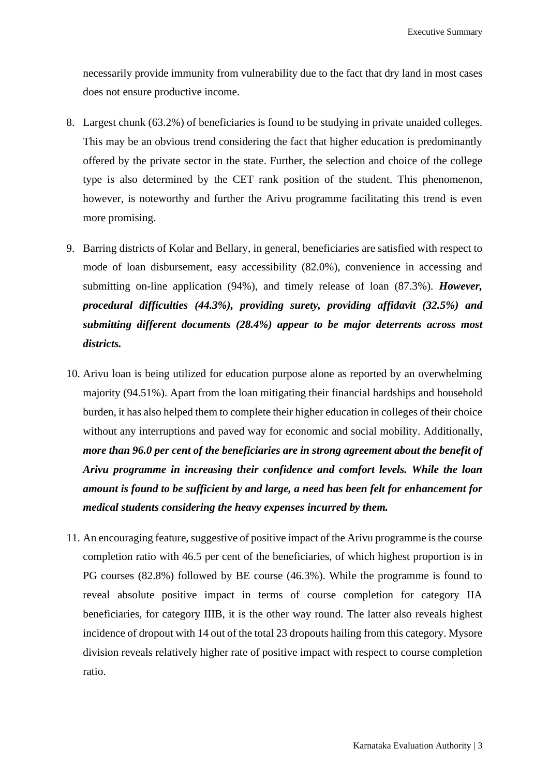necessarily provide immunity from vulnerability due to the fact that dry land in most cases does not ensure productive income.

- 8. Largest chunk (63.2%) of beneficiaries is found to be studying in private unaided colleges. This may be an obvious trend considering the fact that higher education is predominantly offered by the private sector in the state. Further, the selection and choice of the college type is also determined by the CET rank position of the student. This phenomenon, however, is noteworthy and further the Arivu programme facilitating this trend is even more promising.
- 9. Barring districts of Kolar and Bellary, in general, beneficiaries are satisfied with respect to mode of loan disbursement, easy accessibility (82.0%), convenience in accessing and submitting on-line application (94%), and timely release of loan (87.3%). *However, procedural difficulties (44.3%), providing surety, providing affidavit (32.5%) and submitting different documents (28.4%) appear to be major deterrents across most districts.*
- 10. Arivu loan is being utilized for education purpose alone as reported by an overwhelming majority (94.51%). Apart from the loan mitigating their financial hardships and household burden, it has also helped them to complete their higher education in colleges of their choice without any interruptions and paved way for economic and social mobility. Additionally, *more than 96.0 per cent of the beneficiaries are in strong agreement about the benefit of Arivu programme in increasing their confidence and comfort levels. While the loan amount is found to be sufficient by and large, a need has been felt for enhancement for medical students considering the heavy expenses incurred by them.*
- 11. An encouraging feature, suggestive of positive impact of the Arivu programme is the course completion ratio with 46.5 per cent of the beneficiaries, of which highest proportion is in PG courses (82.8%) followed by BE course (46.3%). While the programme is found to reveal absolute positive impact in terms of course completion for category IIA beneficiaries, for category IIIB, it is the other way round. The latter also reveals highest incidence of dropout with 14 out of the total 23 dropouts hailing from this category. Mysore division reveals relatively higher rate of positive impact with respect to course completion ratio.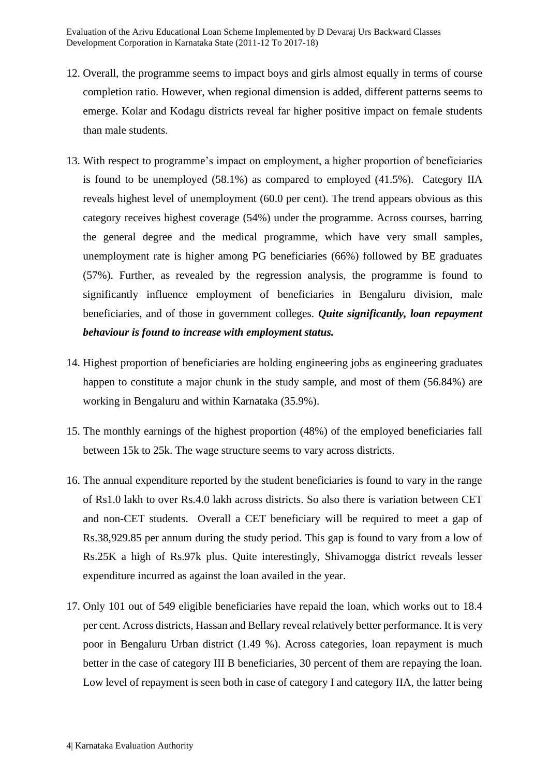- 12. Overall, the programme seems to impact boys and girls almost equally in terms of course completion ratio. However, when regional dimension is added, different patterns seems to emerge. Kolar and Kodagu districts reveal far higher positive impact on female students than male students.
- 13. With respect to programme's impact on employment, a higher proportion of beneficiaries is found to be unemployed (58.1%) as compared to employed (41.5%). Category IIA reveals highest level of unemployment (60.0 per cent). The trend appears obvious as this category receives highest coverage (54%) under the programme. Across courses, barring the general degree and the medical programme, which have very small samples, unemployment rate is higher among PG beneficiaries (66%) followed by BE graduates (57%). Further, as revealed by the regression analysis, the programme is found to significantly influence employment of beneficiaries in Bengaluru division, male beneficiaries, and of those in government colleges. *Quite significantly, loan repayment behaviour is found to increase with employment status.*
- 14. Highest proportion of beneficiaries are holding engineering jobs as engineering graduates happen to constitute a major chunk in the study sample, and most of them (56.84%) are working in Bengaluru and within Karnataka (35.9%).
- 15. The monthly earnings of the highest proportion (48%) of the employed beneficiaries fall between 15k to 25k. The wage structure seems to vary across districts.
- 16. The annual expenditure reported by the student beneficiaries is found to vary in the range of Rs1.0 lakh to over Rs.4.0 lakh across districts. So also there is variation between CET and non-CET students. Overall a CET beneficiary will be required to meet a gap of Rs.38,929.85 per annum during the study period. This gap is found to vary from a low of Rs.25K a high of Rs.97k plus. Quite interestingly, Shivamogga district reveals lesser expenditure incurred as against the loan availed in the year.
- 17. Only 101 out of 549 eligible beneficiaries have repaid the loan, which works out to 18.4 per cent. Across districts, Hassan and Bellary reveal relatively better performance. It is very poor in Bengaluru Urban district (1.49 %). Across categories, loan repayment is much better in the case of category III B beneficiaries, 30 percent of them are repaying the loan. Low level of repayment is seen both in case of category I and category IIA, the latter being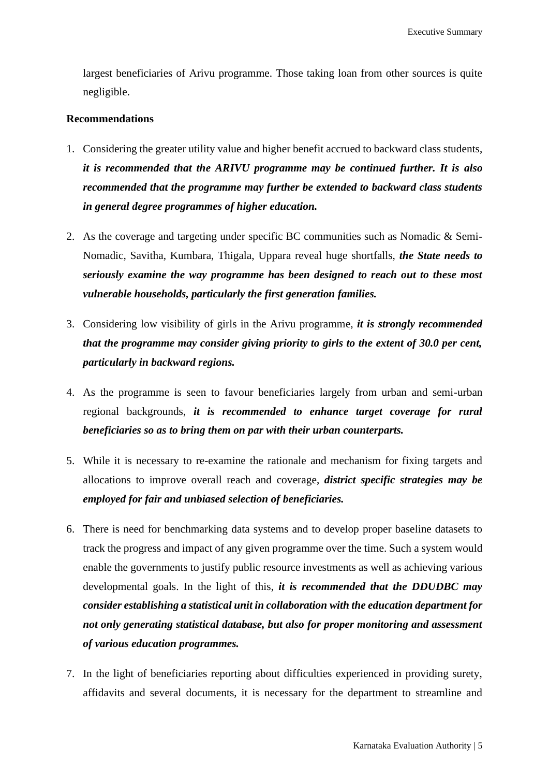largest beneficiaries of Arivu programme. Those taking loan from other sources is quite negligible.

## **Recommendations**

- 1. Considering the greater utility value and higher benefit accrued to backward class students, *it is recommended that the ARIVU programme may be continued further. It is also recommended that the programme may further be extended to backward class students in general degree programmes of higher education.*
- 2. As the coverage and targeting under specific BC communities such as Nomadic & Semi-Nomadic, Savitha, Kumbara, Thigala, Uppara reveal huge shortfalls, *the State needs to seriously examine the way programme has been designed to reach out to these most vulnerable households, particularly the first generation families.*
- 3. Considering low visibility of girls in the Arivu programme, *it is strongly recommended that the programme may consider giving priority to girls to the extent of 30.0 per cent, particularly in backward regions.*
- 4. As the programme is seen to favour beneficiaries largely from urban and semi-urban regional backgrounds, *it is recommended to enhance target coverage for rural beneficiaries so as to bring them on par with their urban counterparts.*
- 5. While it is necessary to re-examine the rationale and mechanism for fixing targets and allocations to improve overall reach and coverage, *district specific strategies may be employed for fair and unbiased selection of beneficiaries.*
- 6. There is need for benchmarking data systems and to develop proper baseline datasets to track the progress and impact of any given programme over the time. Such a system would enable the governments to justify public resource investments as well as achieving various developmental goals. In the light of this, *it is recommended that the DDUDBC may consider establishing a statistical unit in collaboration with the education department for not only generating statistical database, but also for proper monitoring and assessment of various education programmes.*
- 7. In the light of beneficiaries reporting about difficulties experienced in providing surety, affidavits and several documents, it is necessary for the department to streamline and